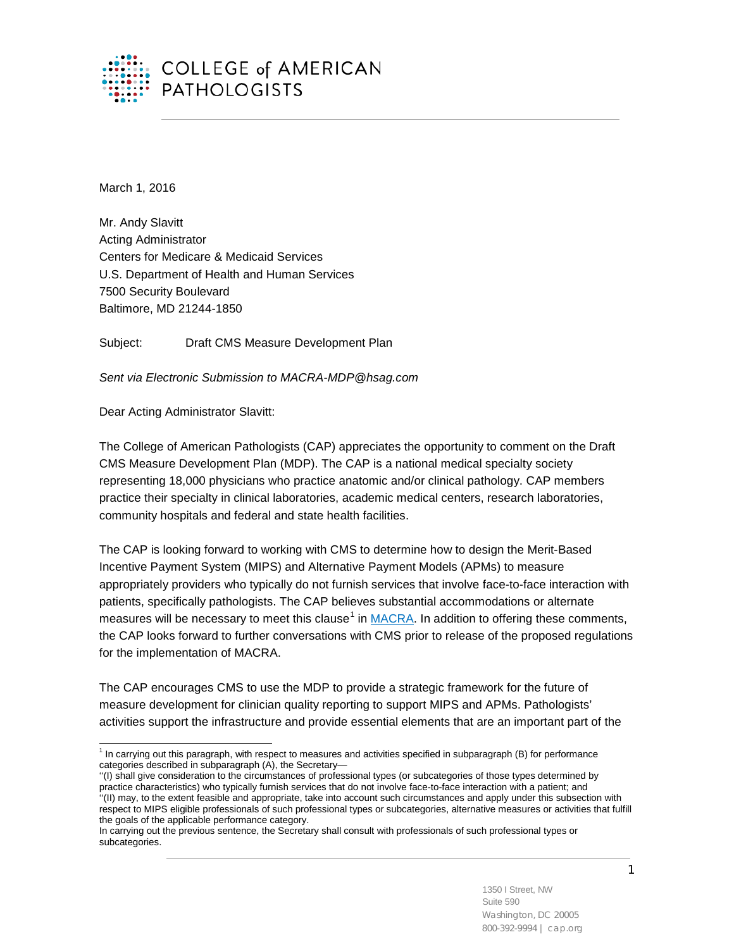

March 1, 2016

Mr. Andy Slavitt Acting Administrator Centers for Medicare & Medicaid Services U.S. Department of Health and Human Services 7500 Security Boulevard Baltimore, MD 21244-1850

Subject: Draft CMS Measure Development Plan

*Sent via Electronic Submission to MACRA-MDP@hsag.com*

Dear Acting Administrator Slavitt:

The College of American Pathologists (CAP) appreciates the opportunity to comment on the Draft CMS Measure Development Plan (MDP). The CAP is a national medical specialty society representing 18,000 physicians who practice anatomic and/or clinical pathology. CAP members practice their specialty in clinical laboratories, academic medical centers, research laboratories, community hospitals and federal and state health facilities.

The CAP is looking forward to working with CMS to determine how to design the Merit-Based Incentive Payment System (MIPS) and Alternative Payment Models (APMs) to measure appropriately providers who typically do not furnish services that involve face-to-face interaction with patients, specifically pathologists. The CAP believes substantial accommodations or alternate measures will be necessary to meet this clause<sup>[1](#page-0-0)</sup> in [MACRA.](https://www.gpo.gov/fdsys/pkg/PLAW-114publ10/html/PLAW-114publ10.htm) In addition to offering these comments, the CAP looks forward to further conversations with CMS prior to release of the proposed regulations for the implementation of MACRA.

The CAP encourages CMS to use the MDP to provide a strategic framework for the future of measure development for clinician quality reporting to support MIPS and APMs. Pathologists' activities support the infrastructure and provide essential elements that are an important part of the

<span id="page-0-0"></span> $1$  In carrying out this paragraph, with respect to measures and activities specified in subparagraph (B) for performance categories described in subparagraph (A), the Secretary—  $\overline{a}$ 

<sup>&#</sup>x27;'(I) shall give consideration to the circumstances of professional types (or subcategories of those types determined by practice characteristics) who typically furnish services that do not involve face-to-face interaction with a patient; and ''(II) may, to the extent feasible and appropriate, take into account such circumstances and apply under this subsection with respect to MIPS eligible professionals of such professional types or subcategories, alternative measures or activities that fulfill the goals of the applicable performance category.

In carrying out the previous sentence, the Secretary shall consult with professionals of such professional types or subcategories.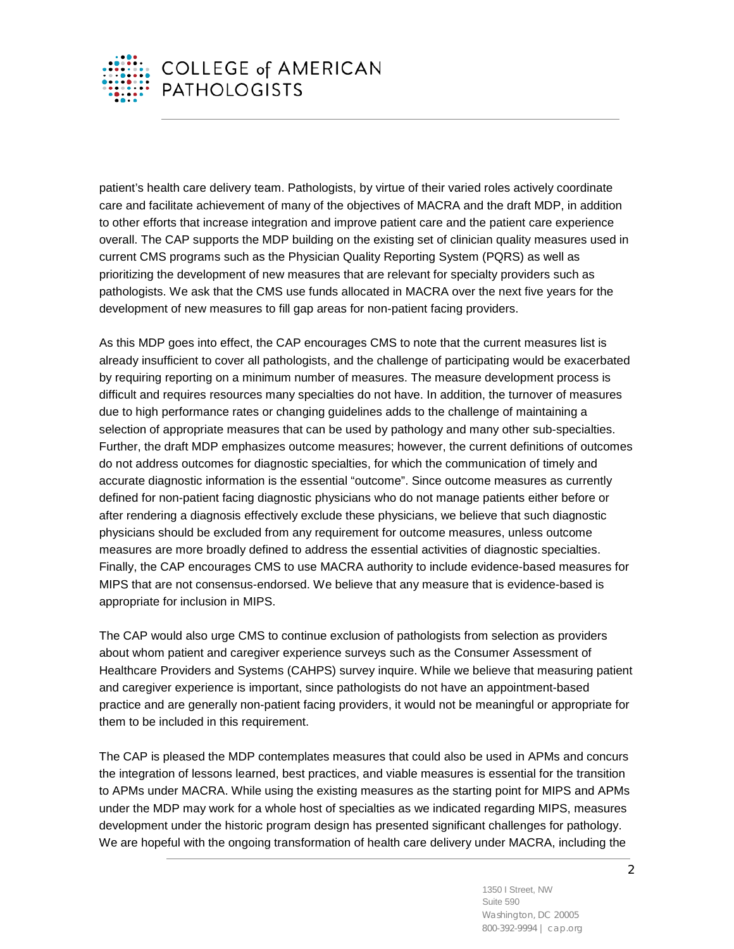

patient's health care delivery team. Pathologists, by virtue of their varied roles actively coordinate care and facilitate achievement of many of the objectives of MACRA and the draft MDP, in addition to other efforts that increase integration and improve patient care and the patient care experience overall. The CAP supports the MDP building on the existing set of clinician quality measures used in current CMS programs such as the Physician Quality Reporting System (PQRS) as well as prioritizing the development of new measures that are relevant for specialty providers such as pathologists. We ask that the CMS use funds allocated in MACRA over the next five years for the development of new measures to fill gap areas for non-patient facing providers.

As this MDP goes into effect, the CAP encourages CMS to note that the current measures list is already insufficient to cover all pathologists, and the challenge of participating would be exacerbated by requiring reporting on a minimum number of measures. The measure development process is difficult and requires resources many specialties do not have. In addition, the turnover of measures due to high performance rates or changing guidelines adds to the challenge of maintaining a selection of appropriate measures that can be used by pathology and many other sub-specialties. Further, the draft MDP emphasizes outcome measures; however, the current definitions of outcomes do not address outcomes for diagnostic specialties, for which the communication of timely and accurate diagnostic information is the essential "outcome". Since outcome measures as currently defined for non-patient facing diagnostic physicians who do not manage patients either before or after rendering a diagnosis effectively exclude these physicians, we believe that such diagnostic physicians should be excluded from any requirement for outcome measures, unless outcome measures are more broadly defined to address the essential activities of diagnostic specialties. Finally, the CAP encourages CMS to use MACRA authority to include evidence-based measures for MIPS that are not consensus-endorsed. We believe that any measure that is evidence-based is appropriate for inclusion in MIPS.

The CAP would also urge CMS to continue exclusion of pathologists from selection as providers about whom patient and caregiver experience surveys such as the Consumer Assessment of Healthcare Providers and Systems (CAHPS) survey inquire. While we believe that measuring patient and caregiver experience is important, since pathologists do not have an appointment-based practice and are generally non-patient facing providers, it would not be meaningful or appropriate for them to be included in this requirement.

The CAP is pleased the MDP contemplates measures that could also be used in APMs and concurs the integration of lessons learned, best practices, and viable measures is essential for the transition to APMs under MACRA. While using the existing measures as the starting point for MIPS and APMs under the MDP may work for a whole host of specialties as we indicated regarding MIPS, measures development under the historic program design has presented significant challenges for pathology. We are hopeful with the ongoing transformation of health care delivery under MACRA, including the